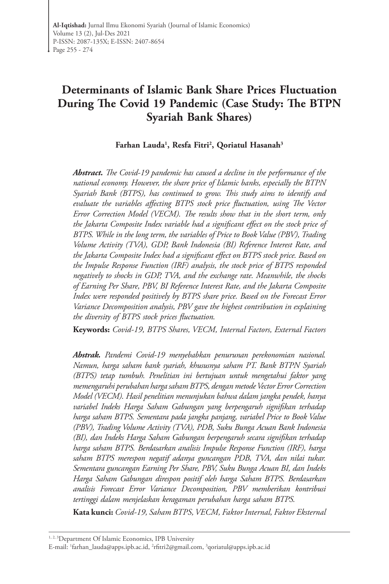# **Determinants of Islamic Bank Share Prices Fluctuation During The Covid 19 Pandemic (Case Study: The BTPN Syariah Bank Shares)**

**Farhan Lauda1 , Resfa Fitri2 , Qoriatul Hasanah3**

*Abstract. The Covid-19 pandemic has caused a decline in the performance of the national economy. However, the share price of Islamic banks, especially the BTPN Syariah Bank (BTPS), has continued to grow. This study aims to identify and evaluate the variables affecting BTPS stock price fluctuation, using The Vector Error Correction Model (VECM). The results show that in the short term, only the Jakarta Composite Index variable had a significant effect on the stock price of BTPS. While in the long term, the variables of Price to Book Value (PBV), Trading Volume Activity (TVA), GDP, Bank Indonesia (BI) Reference Interest Rate, and the Jakarta Composite Index had a significant effect on BTPS stock price. Based on the Impulse Response Function (IRF) analysis, the stock price of BTPS responded negatively to shocks in GDP, TVA, and the exchange rate. Meanwhile, the shocks of Earning Per Share, PBV, BI Reference Interest Rate, and the Jakarta Composite Index were responded positively by BTPS share price. Based on the Forecast Error Variance Decomposition analysis, PBV gave the highest contribution in explaining the diversity of BTPS stock prices fluctuation.*

**Keywords:** *Covid-19, BTPS Shares, VECM, Internal Factors, External Factors*

*Abstrak. Pandemi Covid-19 menyebabkan penurunan perekonomian nasional. Namun, harga saham bank syariah, khususnya saham PT. Bank BTPN Syariah (BTPS) tetap tumbuh. Penelitian ini bertujuan untuk mengetahui faktor yang memengaruhi perubahan harga saham BTPS, dengan metode Vector Error Correction Model (VECM). Hasil penelitian menunjukan bahwa dalam jangka pendek, hanya variabel Indeks Harga Saham Gabungan yang berpengaruh signifikan terhadap harga saham BTPS. Sementara pada jangka panjang, variabel Price to Book Value (PBV), Trading Volume Activity (TVA), PDB, Suku Bunga Acuan Bank Indonesia (BI), dan Indeks Harga Saham Gabungan berpengaruh secara signifikan terhadap harga saham BTPS. Berdasarkan analisis Impulse Response Function (IRF), harga saham BTPS merespon negatif adanya guncangan PDB, TVA, dan nilai tukar. Sementara guncangan Earning Per Share, PBV, Suku Bunga Acuan BI, dan Indeks Harga Saham Gabungan direspon positif oleh harga Saham BTPS. Berdasarkan analisis Forecast Error Variance Decomposition, PBV memberikan kontribusi tertinggi dalam menjelaskan keragaman perubahan harga saham BTPS.*

**Kata kunci:** *Covid-19, Saham BTPS, VECM, Faktor Internal, Faktor Eksternal*

<sup>&</sup>lt;sup>1, 2, 3</sup>Department Of Islamic Economics, IPB University

E-mail: 1 [farhan\\_lauda@apps.ipb.ac.id,](mailto:farhan_lauda%40apps.ipb.ac.id?subject=) 2 [rfitri2@gmail.com,](mailto:rfitri2%40gmail.com?subject=) 3 [qoriatul@apps.ipb.ac.id](mailto:qoriatul%40apps.ipb.ac.id?subject=)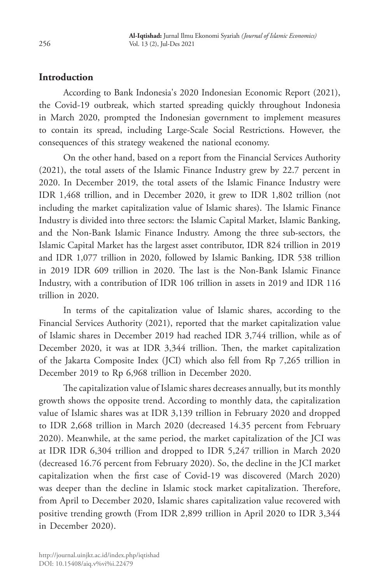# **Introduction**

According to Bank Indonesia's 2020 Indonesian Economic Report (2021), the Covid-19 outbreak, which started spreading quickly throughout Indonesia in March 2020, prompted the Indonesian government to implement measures to contain its spread, including Large-Scale Social Restrictions. However, the consequences of this strategy weakened the national economy.

On the other hand, based on a report from the Financial Services Authority (2021), the total assets of the Islamic Finance Industry grew by 22.7 percent in 2020. In December 2019, the total assets of the Islamic Finance Industry were IDR 1,468 trillion, and in December 2020, it grew to IDR 1,802 trillion (not including the market capitalization value of Islamic shares). The Islamic Finance Industry is divided into three sectors: the Islamic Capital Market, Islamic Banking, and the Non-Bank Islamic Finance Industry. Among the three sub-sectors, the Islamic Capital Market has the largest asset contributor, IDR 824 trillion in 2019 and IDR 1,077 trillion in 2020, followed by Islamic Banking, IDR 538 trillion in 2019 IDR 609 trillion in 2020. The last is the Non-Bank Islamic Finance Industry, with a contribution of IDR 106 trillion in assets in 2019 and IDR 116 trillion in 2020.

In terms of the capitalization value of Islamic shares, according to the Financial Services Authority (2021), reported that the market capitalization value of Islamic shares in December 2019 had reached IDR 3,744 trillion, while as of December 2020, it was at IDR 3,344 trillion. Then, the market capitalization of the Jakarta Composite Index (JCI) which also fell from Rp 7,265 trillion in December 2019 to Rp 6,968 trillion in December 2020.

The capitalization value of Islamic shares decreases annually, but its monthly growth shows the opposite trend. According to monthly data, the capitalization value of Islamic shares was at IDR 3,139 trillion in February 2020 and dropped to IDR 2,668 trillion in March 2020 (decreased 14.35 percent from February 2020). Meanwhile, at the same period, the market capitalization of the JCI was at IDR IDR 6,304 trillion and dropped to IDR 5,247 trillion in March 2020 (decreased 16.76 percent from February 2020). So, the decline in the JCI market capitalization when the first case of Covid-19 was discovered (March 2020) was deeper than the decline in Islamic stock market capitalization. Therefore, from April to December 2020, Islamic shares capitalization value recovered with positive trending growth (From IDR 2,899 trillion in April 2020 to IDR 3,344 in December 2020).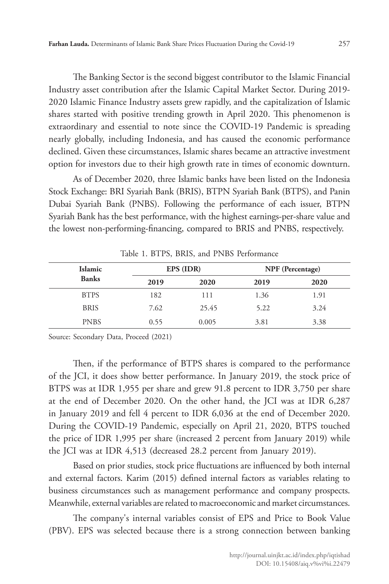The Banking Sector is the second biggest contributor to the Islamic Financial Industry asset contribution after the Islamic Capital Market Sector. During 2019- 2020 Islamic Finance Industry assets grew rapidly, and the capitalization of Islamic shares started with positive trending growth in April 2020. This phenomenon is extraordinary and essential to note since the COVID-19 Pandemic is spreading nearly globally, including Indonesia, and has caused the economic performance declined. Given these circumstances, Islamic shares became an attractive investment option for investors due to their high growth rate in times of economic downturn.

As of December 2020, three Islamic banks have been listed on the Indonesia Stock Exchange: BRI Syariah Bank (BRIS), BTPN Syariah Bank (BTPS), and Panin Dubai Syariah Bank (PNBS). Following the performance of each issuer, BTPN Syariah Bank has the best performance, with the highest earnings-per-share value and the lowest non-performing-financing, compared to BRIS and PNBS, respectively.

| <b>Islamic</b> | EPS (IDR) |       | NPF (Percentage) |      |
|----------------|-----------|-------|------------------|------|
| <b>Banks</b>   | 2019      | 2020  | 2019             | 2020 |
| <b>BTPS</b>    | 182       | 111   | 1.36             | 1.91 |
| <b>BRIS</b>    | 7.62      | 25.45 | 5.22             | 3.24 |
| <b>PNBS</b>    | 0.55      | 0.005 | 3.81             | 3.38 |

Table 1. BTPS, BRIS, and PNBS Performance

Source: Secondary Data, Proceed (2021)

Then, if the performance of BTPS shares is compared to the performance of the JCI, it does show better performance. In January 2019, the stock price of BTPS was at IDR 1,955 per share and grew 91.8 percent to IDR 3,750 per share at the end of December 2020. On the other hand, the JCI was at IDR 6,287 in January 2019 and fell 4 percent to IDR 6,036 at the end of December 2020. During the COVID-19 Pandemic, especially on April 21, 2020, BTPS touched the price of IDR 1,995 per share (increased 2 percent from January 2019) while the JCI was at IDR 4,513 (decreased 28.2 percent from January 2019).

Based on prior studies, stock price fluctuations are influenced by both internal and external factors. Karim (2015) defined internal factors as variables relating to business circumstances such as management performance and company prospects. Meanwhile, external variables are related to macroeconomic and market circumstances.

The company's internal variables consist of EPS and Price to Book Value (PBV). EPS was selected because there is a strong connection between banking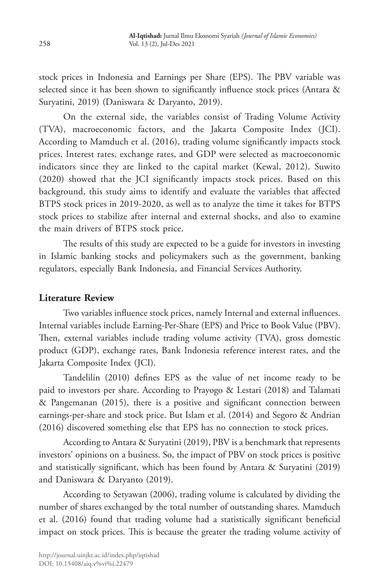stock prices in Indonesia and Earnings per Share (EPS). The PBV variable was selected since it has been shown to significantly influence stock prices (Antara & Suryatini, 2019) (Daniswara & Daryanto, 2019).

On the external side, the variables consist of Trading Volume Activity (TVA), macroeconomic factors, and the Jakarta Composite Index (JCI). According to Mamduch et al. (2016), trading volume significantly impacts stock prices. Interest rates, exchange rates, and GDP were selected as macroeconomic indicators since they are linked to the capital market (Kewal, 2012). Suwito (2020) showed that the JCI significantly impacts stock prices. Based on this background, this study aims to identify and evaluate the variables that affected BTPS stock prices in 2019-2020, as well as to analyze the time it takes for BTPS stock prices to stabilize after internal and external shocks, and also to examine the main drivers of BTPS stock price.

The results of this study are expected to be a guide for investors in investing in Islamic banking stocks and policymakers such as the government, banking regulators, especially Bank Indonesia, and Financial Services Authority.

### **Literature Review**

Two variables influence stock prices, namely Internal and external influences. Internal variables include Earning-Per-Share (EPS) and Price to Book Value (PBV). Then, external variables include trading volume activity (TVA), gross domestic product (GDP), exchange rates, Bank Indonesia reference interest rates, and the Jakarta Composite Index (JCI).

Tandelilin (2010) defines EPS as the value of net income ready to be paid to investors per share. According to Prayogo & Lestari (2018) and Talamati & Pangemanan (2015), there is a positive and significant connection between earnings-per-share and stock price. But Islam et al. (2014) and Segoro & Andrian (2016) discovered something else that EPS has no connection to stock prices.

According to Antara & Suryatini (2019), PBV is a benchmark that represents investors' opinions on a business. So, the impact of PBV on stock prices is positive and statistically significant, which has been found by Antara & Suryatini (2019) and Daniswara & Daryanto (2019).

According to Setyawan (2006), trading volume is calculated by dividing the number of shares exchanged by the total number of outstanding shares. Mamduch et al. (2016) found that trading volume had a statistically significant beneficial impact on stock prices. This is because the greater the trading volume activity of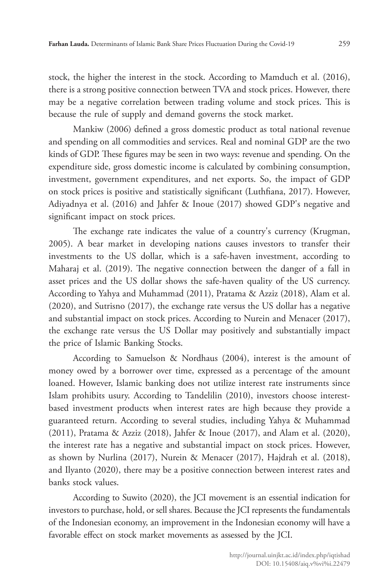stock, the higher the interest in the stock. According to Mamduch et al. (2016), there is a strong positive connection between TVA and stock prices. However, there may be a negative correlation between trading volume and stock prices. This is because the rule of supply and demand governs the stock market.

Mankiw (2006) defined a gross domestic product as total national revenue and spending on all commodities and services. Real and nominal GDP are the two kinds of GDP. These figures may be seen in two ways: revenue and spending. On the expenditure side, gross domestic income is calculated by combining consumption, investment, government expenditures, and net exports. So, the impact of GDP on stock prices is positive and statistically significant (Luthfiana, 2017). However, Adiyadnya et al. (2016) and Jahfer & Inoue (2017) showed GDP's negative and significant impact on stock prices.

The exchange rate indicates the value of a country's currency (Krugman, 2005). A bear market in developing nations causes investors to transfer their investments to the US dollar, which is a safe-haven investment, according to Maharaj et al. (2019). The negative connection between the danger of a fall in asset prices and the US dollar shows the safe-haven quality of the US currency. According to Yahya and Muhammad (2011), Pratama & Azziz (2018), Alam et al. (2020), and Sutrisno (2017), the exchange rate versus the US dollar has a negative and substantial impact on stock prices. According to Nurein and Menacer (2017), the exchange rate versus the US Dollar may positively and substantially impact the price of Islamic Banking Stocks.

According to Samuelson & Nordhaus (2004), interest is the amount of money owed by a borrower over time, expressed as a percentage of the amount loaned. However, Islamic banking does not utilize interest rate instruments since Islam prohibits usury. According to Tandelilin (2010), investors choose interestbased investment products when interest rates are high because they provide a guaranteed return. According to several studies, including Yahya & Muhammad (2011), Pratama & Azziz (2018), Jahfer & Inoue (2017), and Alam et al. (2020), the interest rate has a negative and substantial impact on stock prices. However, as shown by Nurlina (2017), Nurein & Menacer (2017), Hajdrah et al. (2018), and Ilyanto (2020), there may be a positive connection between interest rates and banks stock values.

According to Suwito (2020), the JCI movement is an essential indication for investors to purchase, hold, or sell shares. Because the JCI represents the fundamentals of the Indonesian economy, an improvement in the Indonesian economy will have a favorable effect on stock market movements as assessed by the JCI.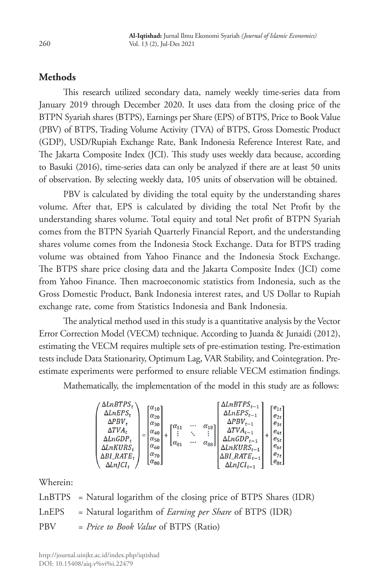# **Methods**

This research utilized secondary data, namely weekly time-series data from January 2019 through December 2020. It uses data from the closing price of the BTPN Syariah shares (BTPS), Earnings per Share (EPS) of BTPS, Price to Book Value (PBV) of BTPS, Trading Volume Activity (TVA) of BTPS, Gross Domestic Product (GDP), USD/Rupiah Exchange Rate, Bank Indonesia Reference Interest Rate, and The Jakarta Composite Index (JCI). This study uses weekly data because, according to Basuki (2016), time-series data can only be analyzed if there are at least 50 units of observation. By selecting weekly data, 105 units of observation will be obtained.

PBV is calculated by dividing the total equity by the understanding shares volume. After that, EPS is calculated by dividing the total Net Profit by the understanding shares volume. Total equity and total Net profit of BTPN Syariah comes from the BTPN Syariah Quarterly Financial Report, and the understanding shares volume comes from the Indonesia Stock Exchange. Data for BTPS trading volume was obtained from Yahoo Finance and the Indonesia Stock Exchange. The BTPS share price closing data and the Jakarta Composite Index (JCI) come from Yahoo Finance. Then macroeconomic statistics from Indonesia, such as the Gross Domestic Product, Bank Indonesia interest rates, and US Dollar to Rupiah exchange rate, come from Statistics Indonesia and Bank Indonesia.

The analytical method used in this study is a quantitative analysis by the Vector Error Correction Model (VECM) technique. According to Juanda & Junaidi (2012), estimating the VECM requires multiple sets of pre-estimation testing. Pre-estimation tests include Data Stationarity, Optimum Lag, VAR Stability, and Cointegration. Preestimate experiments were performed to ensure reliable VECM estimation findings.

Mathematically, the implementation of the model in this study are as follows:

$$
\begin{pmatrix} \Delta\ L n E P S_t \\ \Delta\ L n E P S_t \\ \Delta\Gamma\Gamma A_t \\ \Delta\ L n G D P_t \\ \Delta\ L n K U R S_t \\ \Delta\Delta\Gamma \ _{1} \ _{C I_t} \end{pmatrix} = \begin{bmatrix} \alpha_{10} \\ \alpha_{20} \\ \alpha_{30} \\ \alpha_{40} \\ \alpha_{50} \\ \alpha_{60} \\ \alpha_{60} \\ \alpha_{60} \\ \alpha_{60} \\ \alpha_{60} \\ \alpha_{60} \\ \alpha_{60} \\ \alpha_{60} \\ \alpha_{60} \\ \alpha_{60} \\ \alpha_{60} \\ \alpha_{70} \\ \alpha_{81} \\ \alpha_{92} \\ \alpha_{13} \\ \alpha_{14} \\ \alpha_{15} \\ \alpha_{16} \\ \alpha_{17} \\ \alpha_{18} \\ \alpha_{19} \\ \alpha_{10} \\ \alpha_{11} \\ \alpha_{12} \\ \alpha_{13} \\ \alpha_{14} \\ \alpha_{15} \\ \alpha_{16} \\ \alpha_{17} \\ \alpha_{18} \\ \alpha_{19} \\ \alpha_{10} \\ \alpha_{11} \\ \alpha_{12} \\ \alpha_{13} \\ \alpha_{14} \\ \alpha_{15} \\ \alpha_{16} \\ \alpha_{17} \\ \alpha_{18} \\ \alpha_{19} \\ \alpha_{10} \\ \alpha_{11} \\ \alpha_{12} \\ \alpha_{13} \\ \alpha_{14} \\ \alpha_{15} \\ \alpha_{16} \\ \alpha_{17} \\ \alpha_{18} \\ \alpha_{19} \\ \alpha_{10} \\ \alpha_{11} \\ \alpha_{12} \\ \alpha_{13} \\ \alpha_{14} \\ \alpha_{15} \\ \alpha_{16} \\ \alpha_{17} \\ \alpha_{18} \\ \alpha_{19} \\ \alpha_{10} \\ \alpha_{11} \\ \alpha_{12} \\ \alpha_{13} \\ \alpha_{14} \\ \alpha_{15} \\ \alpha_{16} \\ \alpha_{17} \\ \alpha_{18} \\ \alpha_{19} \\ \alpha_{10} \\ \alpha_{11} \\ \alpha_{12} \\ \alpha_{13} \\ \alpha_{14} \\ \alpha_{15} \\ \alpha_{16} \\ \alpha_{17} \\ \alpha_{18} \\ \alpha_{19} \\ \alpha_{10} \\ \alpha_{11} \\ \alpha_{12} \\ \alpha_{13} \\ \alpha_{14} \\ \alpha_{15} \\ \alpha_{16} \\ \alpha_{17} \\ \alpha_{18} \\ \alpha_{19} \\ \
$$

Wherein:

LnBTPS = Natural logarithm of the closing price of BTPS Shares (IDR) LnEPS = Natural logarithm of *Earning per Share* of BTPS (IDR) PBV = *Price to Book Value* of BTPS (Ratio)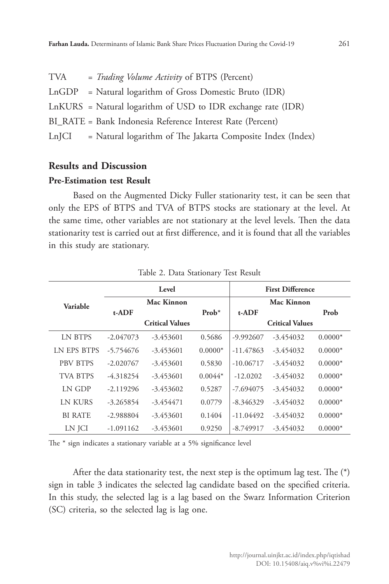| TVA    | = Trading Volume Activity of BTPS (Percent)                    |
|--------|----------------------------------------------------------------|
| LnGDP  | = Natural logarithm of Gross Domestic Bruto (IDR)              |
|        | $LnKURS = Natural logarithm of USD to IDR exchange rate (IDR)$ |
|        | BI RATE = Bank Indonesia Reference Interest Rate (Percent)     |
| Ln[CI] | = Natural logarithm of The Jakarta Composite Index (Index)     |
|        |                                                                |

# **Results and Discussion**

### **Pre-Estimation test Result**

Based on the Augmented Dicky Fuller stationarity test, it can be seen that only the EPS of BTPS and TVA of BTPS stocks are stationary at the level. At the same time, other variables are not stationary at the level levels. Then the data stationarity test is carried out at first difference, and it is found that all the variables in this study are stationary.

|                    | Level       |                        |           | <b>First Difference</b> |                        |           |
|--------------------|-------------|------------------------|-----------|-------------------------|------------------------|-----------|
| Variable           |             | Mac Kinnon             |           |                         | Mac Kinnon             |           |
|                    | $t-ADF$     |                        | $Prob*$   | $t-ADF$                 |                        | Prob      |
|                    |             | <b>Critical Values</b> |           |                         | <b>Critical Values</b> |           |
| <b>LN BTPS</b>     | $-2.047073$ | $-3.453601$            | 0.5686    | -9.992607               | $-3.454032$            | $0.0000*$ |
| <b>LN EPS BTPS</b> | $-5.754676$ | $-3.453601$            | $0.0000*$ | $-11.47863$             | $-3.454032$            | $0.0000*$ |
| <b>PBV BTPS</b>    | $-2.020767$ | $-3.453601$            | 0.5830    | $-10.06717$             | $-3.454032$            | $0.0000*$ |
| <b>TVA BTPS</b>    | $-4.318254$ | $-3.453601$            | $0.0044*$ | $-12.0202$              | $-3.454032$            | $0.0000*$ |
| LN GDP             | $-2.119296$ | $-3.453602$            | 0.5287    | $-7.694075$             | $-3.454032$            | $0.0000*$ |
| LN KURS            | $-3.265854$ | $-3.454471$            | 0.0779    | $-8.346329$             | $-3.454032$            | $0.0000*$ |
| <b>BI RATE</b>     | $-2.988804$ | $-3.453601$            | 0.1404    | $-11.04492$             | $-3.454032$            | $0.0000*$ |
| LN JCI             | $-1.091162$ | $-3.453601$            | 0.9250    | $-8.749917$             | $-3.454032$            | $0.0000*$ |

Table 2. Data Stationary Test Result

The \* sign indicates a stationary variable at a 5% significance level

After the data stationarity test, the next step is the optimum lag test. The (\*) sign in table 3 indicates the selected lag candidate based on the specified criteria. In this study, the selected lag is a lag based on the Swarz Information Criterion (SC) criteria, so the selected lag is lag one.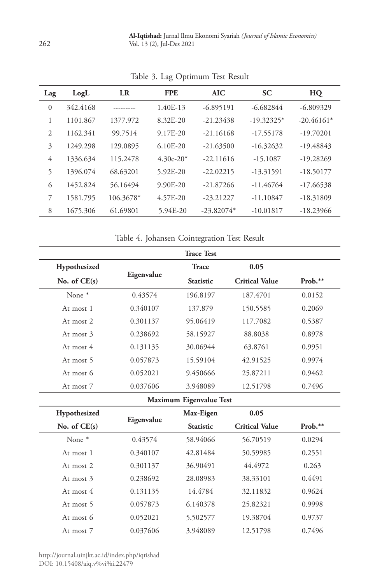| Lag      | LogL     | LR        | <b>FPE</b>   | <b>AIC</b>   | <b>SC</b>    | HQ           |
|----------|----------|-----------|--------------|--------------|--------------|--------------|
| $\Omega$ | 342.4168 |           | 1.40E-13     | $-6.895191$  | $-6.682844$  | $-6.809329$  |
| 1        | 1101.867 | 1377.972  | 8.32E-20     | $-21.23438$  | $-19.32325*$ | $-20.46161*$ |
| 2        | 1162.341 | 99.7514   | 9.17E-20     | $-21.16168$  | $-17.55178$  | $-19.70201$  |
| 3        | 1249.298 | 129.0895  | $6.10E - 20$ | $-21.63500$  | $-16.32632$  | $-19.48843$  |
| 4        | 1336.634 | 115.2478  | $4.30e-20*$  | $-22.11616$  | $-15.1087$   | $-19.28269$  |
| 5        | 1396.074 | 68.63201  | 5.92E-20     | $-22.02215$  | $-13.31591$  | $-18.50177$  |
| 6        | 1452.824 | 56.16494  | $9.90E - 20$ | $-21.87266$  | $-11.46764$  | $-17.66538$  |
| 7        | 1581.795 | 106.3678* | 4.57E-20     | $-23.21227$  | $-11.10847$  | $-18.31809$  |
| 8        | 1675.306 | 61.69801  | 5.94E-20     | $-23.82074*$ | $-10.01817$  | $-18.23966$  |

Table 3. Lag Optimum Test Result

Table 4. Johansen Cointegration Test Result

|                   |            | <b>Trace Test</b>       |                       |           |
|-------------------|------------|-------------------------|-----------------------|-----------|
| Hypothesized      |            | <b>Trace</b>            | 0.05                  |           |
| No. of $CE(s)$    | Eigenvalue | <b>Statistic</b>        | <b>Critical Value</b> | $Prob.**$ |
| None <sup>*</sup> | 0.43574    | 196.8197                | 187.4701              | 0.0152    |
| At most 1         | 0.340107   | 137.879                 | 150.5585              | 0.2069    |
| At most 2         | 0.301137   | 95.06419                | 117.7082              | 0.5387    |
| At most 3         | 0.238692   | 58.15927                | 88.8038               | 0.8978    |
| At most 4         | 0.131135   | 30.06944                | 63.8761               | 0.9951    |
| At most 5         | 0.057873   | 15.59104                | 42.91525              | 0.9974    |
| At most 6         | 0.052021   | 9.450666                | 25.87211              | 0.9462    |
| At most 7         | 0.037606   | 3.948089                | 12.51798              | 0.7496    |
|                   |            | Maximum Eigenvalue Test |                       |           |
| Hypothesized      |            | Max-Eigen               | 0.05                  |           |
| No. of $CE(s)$    | Eigenvalue | <b>Statistic</b>        | <b>Critical Value</b> | $Prob.**$ |
| None <sup>*</sup> | 0.43574    | 58.94066                | 56.70519              | 0.0294    |
| At most 1         | 0.340107   | 42.81484                | 50.59985              | 0.2551    |
| At most 2         | 0.301137   | 36.90491                | 44.4972               | 0.263     |
| At most 3         | 0.238692   | 28.08983                | 38.33101              | 0.4491    |
| At most 4         | 0.131135   | 14.4784                 | 32.11832              | 0.9624    |
| At most 5         | 0.057873   | 6.140378                | 25.82321              | 0.9998    |
| At most 6         | 0.052021   | 5.502577                | 19.38704              | 0.9737    |
| At most 7         | 0.037606   | 3.948089                | 12.51798              | 0.7496    |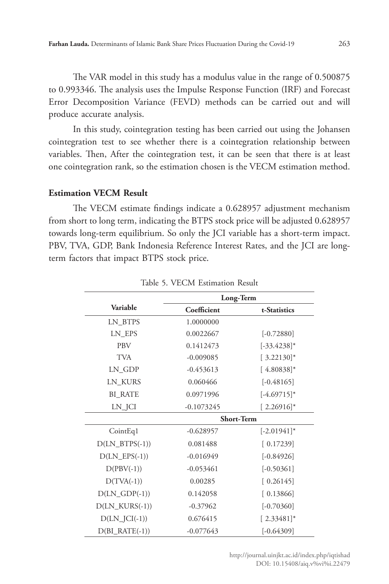The VAR model in this study has a modulus value in the range of 0.500875 to 0.993346. The analysis uses the Impulse Response Function (IRF) and Forecast Error Decomposition Variance (FEVD) methods can be carried out and will produce accurate analysis.

In this study, cointegration testing has been carried out using the Johansen cointegration test to see whether there is a cointegration relationship between variables. Then, After the cointegration test, it can be seen that there is at least one cointegration rank, so the estimation chosen is the VECM estimation method.

#### **Estimation VECM Result**

The VECM estimate findings indicate a 0.628957 adjustment mechanism from short to long term, indicating the BTPS stock price will be adjusted 0.628957 towards long-term equilibrium. So only the JCI variable has a short-term impact. PBV, TVA, GDP, Bank Indonesia Reference Interest Rates, and the JCI are longterm factors that impact BTPS stock price.

|                   | Long-Term         |                |  |  |
|-------------------|-------------------|----------------|--|--|
| Variable          | Coefficient       | t-Statistics   |  |  |
| LN_BTPS           | 1.0000000         |                |  |  |
| LN EPS            | 0.0022667         | $[-0.72880]$   |  |  |
| <b>PBV</b>        | 0.1412473         | $[-33.4238]$ * |  |  |
| <b>TVA</b>        | $-0.009085$       | $[3.22130]$ *  |  |  |
| LN GDP            | $-0.453613$       | $[4.80838]$ *  |  |  |
| LN_KURS           | 0.060466          | $[-0.48165]$   |  |  |
| <b>BI RATE</b>    | 0.0971996         | $[-4.69715]$ * |  |  |
| LN_JCI            | $-0.1073245$      | $[2.26916]$ *  |  |  |
|                   | <b>Short-Term</b> |                |  |  |
| CointEq1          | $-0.628957$       | $[-2.01941]$ * |  |  |
| $D(LN_BTPS(-1))$  | 0.081488          | [0.17239]      |  |  |
| $D(LN_EPS(-1))$   | $-0.016949$       | $[-0.84926]$   |  |  |
| $D(PBV(-1))$      | $-0.053461$       | $[-0.50361]$   |  |  |
| $D(TVA(-1))$      | 0.00285           | [0.26145]      |  |  |
| $D(LN_GDP(-1))$   | 0.142058          | [0.13866]      |  |  |
| $D(LN_KURS(-1))$  | $-0.37962$        | $[-0.70360]$   |  |  |
| $D(LN_{I}Cl(-1))$ | 0.676415          | $[2.33481]$ *  |  |  |
| $D(BI_RATE(-1))$  | $-0.077643$       | $[-0.64309]$   |  |  |

Table 5. VECM Estimation Result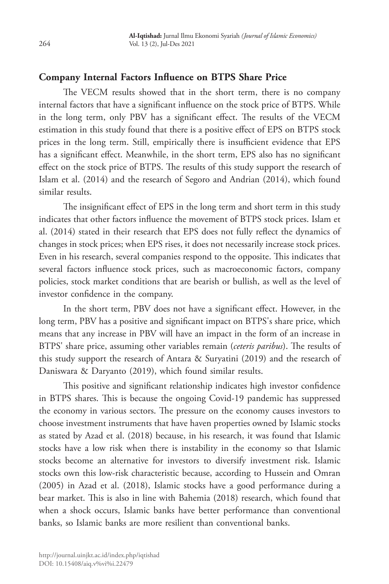# **Company Internal Factors Influence on BTPS Share Price**

The VECM results showed that in the short term, there is no company internal factors that have a significant influence on the stock price of BTPS. While in the long term, only PBV has a significant effect. The results of the VECM estimation in this study found that there is a positive effect of EPS on BTPS stock prices in the long term. Still, empirically there is insufficient evidence that EPS has a significant effect. Meanwhile, in the short term, EPS also has no significant effect on the stock price of BTPS. The results of this study support the research of Islam et al. (2014) and the research of Segoro and Andrian (2014), which found similar results.

The insignificant effect of EPS in the long term and short term in this study indicates that other factors influence the movement of BTPS stock prices. Islam et al. (2014) stated in their research that EPS does not fully reflect the dynamics of changes in stock prices; when EPS rises, it does not necessarily increase stock prices. Even in his research, several companies respond to the opposite. This indicates that several factors influence stock prices, such as macroeconomic factors, company policies, stock market conditions that are bearish or bullish, as well as the level of investor confidence in the company.

In the short term, PBV does not have a significant effect. However, in the long term, PBV has a positive and significant impact on BTPS's share price, which means that any increase in PBV will have an impact in the form of an increase in BTPS' share price, assuming other variables remain (*ceteris paribus*). The results of this study support the research of Antara & Suryatini (2019) and the research of Daniswara & Daryanto (2019), which found similar results.

This positive and significant relationship indicates high investor confidence in BTPS shares. This is because the ongoing Covid-19 pandemic has suppressed the economy in various sectors. The pressure on the economy causes investors to choose investment instruments that have haven properties owned by Islamic stocks as stated by Azad et al. (2018) because, in his research, it was found that Islamic stocks have a low risk when there is instability in the economy so that Islamic stocks become an alternative for investors to diversify investment risk. Islamic stocks own this low-risk characteristic because, according to Hussein and Omran (2005) in Azad et al. (2018), Islamic stocks have a good performance during a bear market. This is also in line with Bahemia (2018) research, which found that when a shock occurs, Islamic banks have better performance than conventional banks, so Islamic banks are more resilient than conventional banks.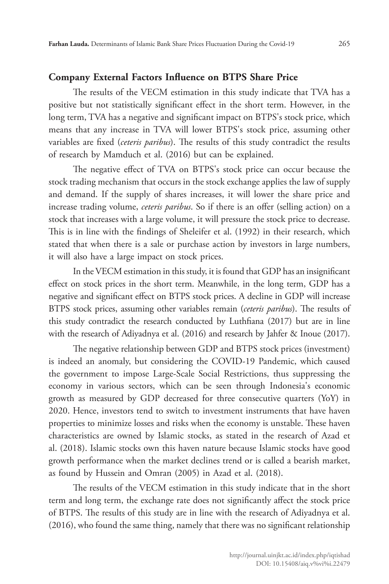# **Company External Factors Influence on BTPS Share Price**

The results of the VECM estimation in this study indicate that TVA has a positive but not statistically significant effect in the short term. However, in the long term, TVA has a negative and significant impact on BTPS's stock price, which means that any increase in TVA will lower BTPS's stock price, assuming other variables are fixed (*ceteris paribus*). The results of this study contradict the results of research by Mamduch et al. (2016) but can be explained.

The negative effect of TVA on BTPS's stock price can occur because the stock trading mechanism that occurs in the stock exchange applies the law of supply and demand. If the supply of shares increases, it will lower the share price and increase trading volume, *ceteris paribus*. So if there is an offer (selling action) on a stock that increases with a large volume, it will pressure the stock price to decrease. This is in line with the findings of Sheleifer et al. (1992) in their research, which stated that when there is a sale or purchase action by investors in large numbers, it will also have a large impact on stock prices.

In the VECM estimation in this study, it is found that GDP has an insignificant effect on stock prices in the short term. Meanwhile, in the long term, GDP has a negative and significant effect on BTPS stock prices. A decline in GDP will increase BTPS stock prices, assuming other variables remain (*ceteris paribus*). The results of this study contradict the research conducted by Luthfiana (2017) but are in line with the research of Adiyadnya et al. (2016) and research by Jahfer & Inoue (2017).

The negative relationship between GDP and BTPS stock prices (investment) is indeed an anomaly, but considering the COVID-19 Pandemic, which caused the government to impose Large-Scale Social Restrictions, thus suppressing the economy in various sectors, which can be seen through Indonesia's economic growth as measured by GDP decreased for three consecutive quarters (YoY) in 2020. Hence, investors tend to switch to investment instruments that have haven properties to minimize losses and risks when the economy is unstable. These haven characteristics are owned by Islamic stocks, as stated in the research of Azad et al. (2018). Islamic stocks own this haven nature because Islamic stocks have good growth performance when the market declines trend or is called a bearish market, as found by Hussein and Omran (2005) in Azad et al. (2018).

The results of the VECM estimation in this study indicate that in the short term and long term, the exchange rate does not significantly affect the stock price of BTPS. The results of this study are in line with the research of Adiyadnya et al. (2016), who found the same thing, namely that there was no significant relationship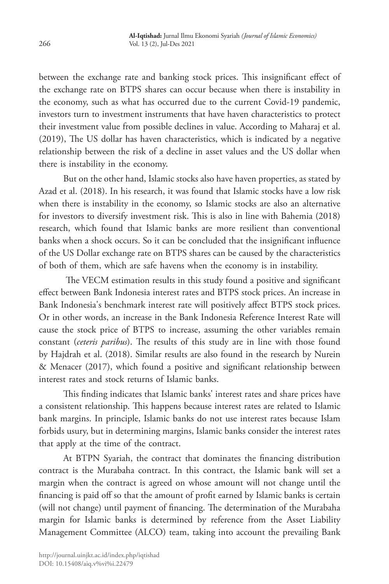between the exchange rate and banking stock prices. This insignificant effect of the exchange rate on BTPS shares can occur because when there is instability in the economy, such as what has occurred due to the current Covid-19 pandemic, investors turn to investment instruments that have haven characteristics to protect their investment value from possible declines in value. According to Maharaj et al. (2019), The US dollar has haven characteristics, which is indicated by a negative relationship between the risk of a decline in asset values and the US dollar when there is instability in the economy.

But on the other hand, Islamic stocks also have haven properties, as stated by Azad et al. (2018). In his research, it was found that Islamic stocks have a low risk when there is instability in the economy, so Islamic stocks are also an alternative for investors to diversify investment risk. This is also in line with Bahemia (2018) research, which found that Islamic banks are more resilient than conventional banks when a shock occurs. So it can be concluded that the insignificant influence of the US Dollar exchange rate on BTPS shares can be caused by the characteristics of both of them, which are safe havens when the economy is in instability.

 The VECM estimation results in this study found a positive and significant effect between Bank Indonesia interest rates and BTPS stock prices. An increase in Bank Indonesia's benchmark interest rate will positively affect BTPS stock prices. Or in other words, an increase in the Bank Indonesia Reference Interest Rate will cause the stock price of BTPS to increase, assuming the other variables remain constant (*ceteris paribus*). The results of this study are in line with those found by Hajdrah et al. (2018). Similar results are also found in the research by Nurein & Menacer (2017), which found a positive and significant relationship between interest rates and stock returns of Islamic banks.

This finding indicates that Islamic banks' interest rates and share prices have a consistent relationship. This happens because interest rates are related to Islamic bank margins. In principle, Islamic banks do not use interest rates because Islam forbids usury, but in determining margins, Islamic banks consider the interest rates that apply at the time of the contract.

At BTPN Syariah, the contract that dominates the financing distribution contract is the Murabaha contract. In this contract, the Islamic bank will set a margin when the contract is agreed on whose amount will not change until the financing is paid off so that the amount of profit earned by Islamic banks is certain (will not change) until payment of financing. The determination of the Murabaha margin for Islamic banks is determined by reference from the Asset Liability Management Committee (ALCO) team, taking into account the prevailing Bank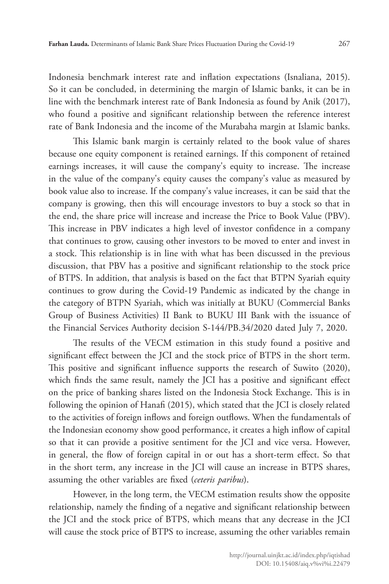Indonesia benchmark interest rate and inflation expectations (Isnaliana, 2015). So it can be concluded, in determining the margin of Islamic banks, it can be in line with the benchmark interest rate of Bank Indonesia as found by Anik (2017), who found a positive and significant relationship between the reference interest rate of Bank Indonesia and the income of the Murabaha margin at Islamic banks.

This Islamic bank margin is certainly related to the book value of shares because one equity component is retained earnings. If this component of retained earnings increases, it will cause the company's equity to increase. The increase in the value of the company's equity causes the company's value as measured by book value also to increase. If the company's value increases, it can be said that the company is growing, then this will encourage investors to buy a stock so that in the end, the share price will increase and increase the Price to Book Value (PBV). This increase in PBV indicates a high level of investor confidence in a company that continues to grow, causing other investors to be moved to enter and invest in a stock. This relationship is in line with what has been discussed in the previous discussion, that PBV has a positive and significant relationship to the stock price of BTPS. In addition, that analysis is based on the fact that BTPN Syariah equity continues to grow during the Covid-19 Pandemic as indicated by the change in the category of BTPN Syariah, which was initially at BUKU (Commercial Banks Group of Business Activities) II Bank to BUKU III Bank with the issuance of the Financial Services Authority decision S-144/PB.34/2020 dated July 7, 2020.

The results of the VECM estimation in this study found a positive and significant effect between the JCI and the stock price of BTPS in the short term. This positive and significant influence supports the research of Suwito (2020), which finds the same result, namely the JCI has a positive and significant effect on the price of banking shares listed on the Indonesia Stock Exchange. This is in following the opinion of Hanafi (2015), which stated that the JCI is closely related to the activities of foreign inflows and foreign outflows. When the fundamentals of the Indonesian economy show good performance, it creates a high inflow of capital so that it can provide a positive sentiment for the JCI and vice versa. However, in general, the flow of foreign capital in or out has a short-term effect. So that in the short term, any increase in the JCI will cause an increase in BTPS shares, assuming the other variables are fixed (*ceteris paribus*).

However, in the long term, the VECM estimation results show the opposite relationship, namely the finding of a negative and significant relationship between the JCI and the stock price of BTPS, which means that any decrease in the JCI will cause the stock price of BTPS to increase, assuming the other variables remain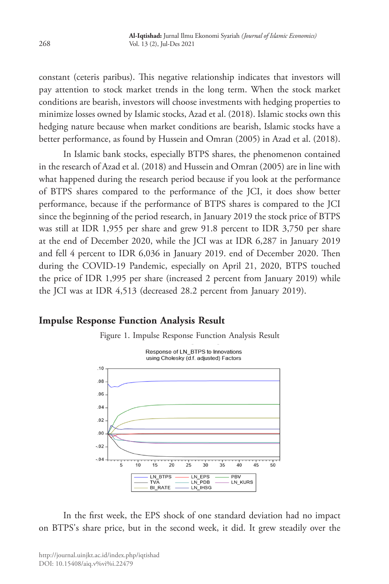constant (ceteris paribus). This negative relationship indicates that investors will pay attention to stock market trends in the long term. When the stock market conditions are bearish, investors will choose investments with hedging properties to minimize losses owned by Islamic stocks, Azad et al. (2018). Islamic stocks own this hedging nature because when market conditions are bearish, Islamic stocks have a better performance, as found by Hussein and Omran (2005) in Azad et al. (2018).

In Islamic bank stocks, especially BTPS shares, the phenomenon contained in the research of Azad et al. (2018) and Hussein and Omran (2005) are in line with what happened during the research period because if you look at the performance of BTPS shares compared to the performance of the JCI, it does show better performance, because if the performance of BTPS shares is compared to the JCI since the beginning of the period research, in January 2019 the stock price of BTPS was still at IDR 1,955 per share and grew 91.8 percent to IDR 3,750 per share at the end of December 2020, while the JCI was at IDR 6,287 in January 2019 and fell 4 percent to IDR 6,036 in January 2019. end of December 2020. Then during the COVID-19 Pandemic, especially on April 21, 2020, BTPS touched the price of IDR 1,995 per share (increased 2 percent from January 2019) while the JCI was at IDR 4,513 (decreased 28.2 percent from January 2019).

# **Impulse Response Function Analysis Result**

Figure 1. Impulse Response Function Analysis Result



In the first week, the EPS shock of one standard deviation had no impact on BTPS's share price, but in the second week, it did. It grew steadily over the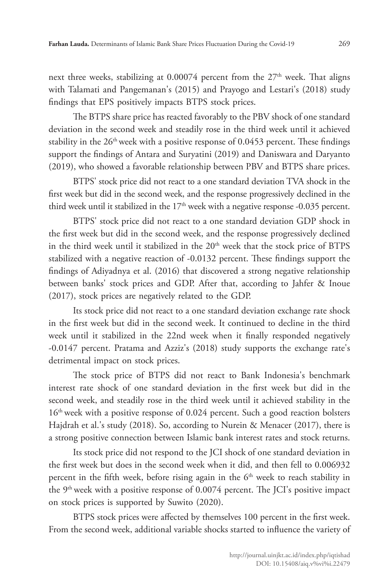next three weeks, stabilizing at  $0.00074$  percent from the  $27<sup>th</sup>$  week. That aligns with Talamati and Pangemanan's (2015) and Prayogo and Lestari's (2018) study findings that EPS positively impacts BTPS stock prices.

The BTPS share price has reacted favorably to the PBV shock of one standard deviation in the second week and steadily rose in the third week until it achieved stability in the  $26<sup>th</sup>$  week with a positive response of 0.0453 percent. These findings support the findings of Antara and Suryatini (2019) and Daniswara and Daryanto (2019), who showed a favorable relationship between PBV and BTPS share prices.

BTPS' stock price did not react to a one standard deviation TVA shock in the first week but did in the second week, and the response progressively declined in the third week until it stabilized in the  $17<sup>th</sup>$  week with a negative response -0.035 percent.

BTPS' stock price did not react to a one standard deviation GDP shock in the first week but did in the second week, and the response progressively declined in the third week until it stabilized in the 20<sup>th</sup> week that the stock price of BTPS stabilized with a negative reaction of -0.0132 percent. These findings support the findings of Adiyadnya et al. (2016) that discovered a strong negative relationship between banks' stock prices and GDP. After that, according to Jahfer & Inoue (2017), stock prices are negatively related to the GDP.

Its stock price did not react to a one standard deviation exchange rate shock in the first week but did in the second week. It continued to decline in the third week until it stabilized in the 22nd week when it finally responded negatively -0.0147 percent. Pratama and Azziz's (2018) study supports the exchange rate's detrimental impact on stock prices.

The stock price of BTPS did not react to Bank Indonesia's benchmark interest rate shock of one standard deviation in the first week but did in the second week, and steadily rose in the third week until it achieved stability in the 16<sup>th</sup> week with a positive response of 0.024 percent. Such a good reaction bolsters Hajdrah et al.'s study (2018). So, according to Nurein & Menacer (2017), there is a strong positive connection between Islamic bank interest rates and stock returns.

Its stock price did not respond to the JCI shock of one standard deviation in the first week but does in the second week when it did, and then fell to 0.006932 percent in the fifth week, before rising again in the  $6<sup>th</sup>$  week to reach stability in the  $9<sup>th</sup>$  week with a positive response of 0.0074 percent. The JCI's positive impact on stock prices is supported by Suwito (2020).

BTPS stock prices were affected by themselves 100 percent in the first week. From the second week, additional variable shocks started to influence the variety of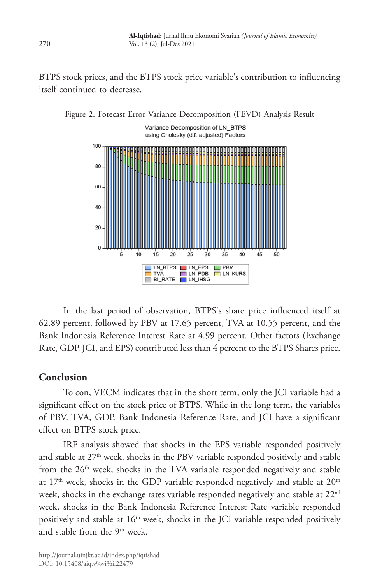BTPS stock prices, and the BTPS stock price variable's contribution to influencing itself continued to decrease.



Figure 2. Forecast Error Variance Decomposition (FEVD) Analysis Result

In the last period of observation, BTPS's share price influenced itself at 62.89 percent, followed by PBV at 17.65 percent, TVA at 10.55 percent, and the Bank Indonesia Reference Interest Rate at 4.99 percent. Other factors (Exchange Rate, GDP, JCI, and EPS) contributed less than 4 percent to the BTPS Shares price.

### **Conclusion**

To con, VECM indicates that in the short term, only the JCI variable had a significant effect on the stock price of BTPS. While in the long term, the variables of PBV, TVA, GDP, Bank Indonesia Reference Rate, and JCI have a significant effect on BTPS stock price.

IRF analysis showed that shocks in the EPS variable responded positively and stable at 27<sup>th</sup> week, shocks in the PBV variable responded positively and stable from the 26<sup>th</sup> week, shocks in the TVA variable responded negatively and stable at  $17<sup>th</sup>$  week, shocks in the GDP variable responded negatively and stable at  $20<sup>th</sup>$ week, shocks in the exchange rates variable responded negatively and stable at 22<sup>nd</sup> week, shocks in the Bank Indonesia Reference Interest Rate variable responded positively and stable at 16<sup>th</sup> week, shocks in the JCI variable responded positively and stable from the 9<sup>th</sup> week.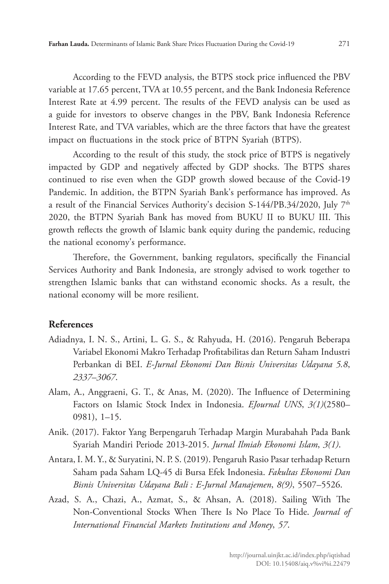According to the FEVD analysis, the BTPS stock price influenced the PBV variable at 17.65 percent, TVA at 10.55 percent, and the Bank Indonesia Reference Interest Rate at 4.99 percent. The results of the FEVD analysis can be used as a guide for investors to observe changes in the PBV, Bank Indonesia Reference Interest Rate, and TVA variables, which are the three factors that have the greatest impact on fluctuations in the stock price of BTPN Syariah (BTPS).

According to the result of this study, the stock price of BTPS is negatively impacted by GDP and negatively affected by GDP shocks. The BTPS shares continued to rise even when the GDP growth slowed because of the Covid-19 Pandemic. In addition, the BTPN Syariah Bank's performance has improved. As a result of the Financial Services Authority's decision S-144/PB.34/2020, July  $7<sup>th</sup>$ 2020, the BTPN Syariah Bank has moved from BUKU II to BUKU III. This growth reflects the growth of Islamic bank equity during the pandemic, reducing the national economy's performance.

Therefore, the Government, banking regulators, specifically the Financial Services Authority and Bank Indonesia, are strongly advised to work together to strengthen Islamic banks that can withstand economic shocks. As a result, the national economy will be more resilient.

# **References**

- Adiadnya, I. N. S., Artini, L. G. S., & Rahyuda, H. (2016). Pengaruh Beberapa Variabel Ekonomi Makro Terhadap Profitabilitas dan Return Saham Industri Perbankan di BEI. *E-Jurnal Ekonomi Dan Bisnis Universitas Udayana 5.8*, *2337*–*3067*.
- Alam, A., Anggraeni, G. T., & Anas, M. (2020). The Influence of Determining Factors on Islamic Stock Index in Indonesia. *EJournal UNS*, *3(1)*(2580– 0981), 1–15.
- Anik. (2017). Faktor Yang Berpengaruh Terhadap Margin Murabahah Pada Bank Syariah Mandiri Periode 2013-2015. *Jurnal Ilmiah Ekonomi Islam*, *3(1)*.
- Antara, I. M. Y., & Suryatini, N. P. S. (2019). Pengaruh Rasio Pasar terhadap Return Saham pada Saham LQ-45 di Bursa Efek Indonesia. *Fakultas Ekonomi Dan Bisnis Universitas Udayana Bali : E-Jurnal Manajemen*, *8(9)*, 5507–5526.
- Azad, S. A., Chazi, A., Azmat, S., & Ahsan, A. (2018). Sailing With The Non-Conventional Stocks When There Is No Place To Hide. *Journal of International Financial Markets Institutions and Money*, *57*.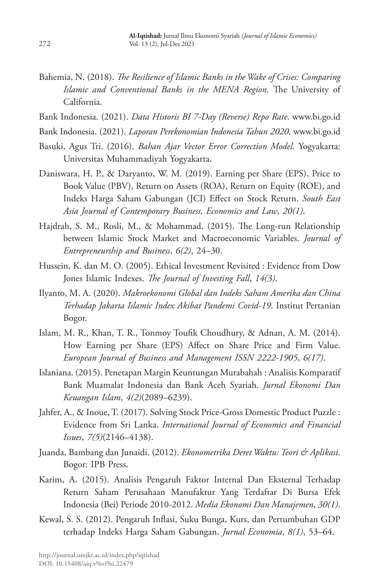- Bahemia, N. (2018). *The Resilience of Islamic Banks in the Wake of Crises: Comparing Islamic and Conventional Banks in the MENA Region*. The University of California.
- Bank Indonesia. (2021). *Data Historis BI 7-Day (Reverse) Repo Rate*. www.bi.go.id
- Bank Indonesia. (2021). *Laporan Perekonomian Indonesia Tahun 2020*. www.bi.go.id
- Basuki, Agus Tri. (2016). *Bahan Ajar Vector Error Correction Model.* Yogyakarta: Universitas Muhammadiyah Yogyakarta.
- Daniswara, H. P., & Daryanto, W. M. (2019). Earning per Share (EPS), Price to Book Value (PBV), Return on Assets (ROA), Return on Equity (ROE), and Indeks Harga Saham Gabungan (JCI) Effect on Stock Return. *South East Asia Journal of Contemporary Business, Economics and Law*, *20(1)*.
- Hajdrah, S. M., Rosli, M., & Mohammad. (2015). The Long-run Relationship between Islamic Stock Market and Macroeconomic Variables. *Journal of Entrepreneurship and Business*, *6(2)*, 24–30.
- Hussein, K. dan M. O. (2005). Ethical Investment Revisited : Evidence from Dow Jones Islamic Indexes. *The Journal of Investing Fall*, *14(3)*.
- Ilyanto, M. A. (2020). *Makroekonomi Global dan Indeks Saham Amerika dan China Terhadap Jakarta Islamic Index Akibat Pandemi Covid-19*. Institut Pertanian Bogor.
- Islam, M. R., Khan, T. R., Tonmoy Toufik Choudhury, & Adnan, A. M. (2014). How Earning per Share (EPS) Affect on Share Price and Firm Value. *European Journal of Business and Management ISSN 2222-1905*, *6(17)*.
- Islaniana. (2015). Penetapan Margin Keuntungan Murabahah : Analisis Komparatif Bank Muamalat Indonesia dan Bank Aceh Syariah. *Jurnal Ekonomi Dan Keuangan Islam*, *4(2)*(2089–6239).
- Jahfer, A., & Inoue, T. (2017). Solving Stock Price-Gross Domestic Product Puzzle : Evidence from Sri Lanka. *International Journal of Economics and Financial Issues*, *7(5)*(2146–4138).
- Juanda, Bambang dan Junaidi. (2012). *Ekonometrika Deret Waktu: Teori & Aplikasi*. Bogor: IPB Press.
- Karim, A. (2015). Analisis Pengaruh Faktor Internal Dan Eksternal Terhadap Return Saham Perusahaan Manufaktur Yang Terdaftar Di Bursa Efek Indonesia (Bei) Periode 2010-2012. *Media Ekonomi Dan Manajemen*, *30(1)*.
- Kewal, S. S. (2012). Pengaruh Inflasi, Suku Bunga, Kurs, dan Pertumbuhan GDP terhadap Indeks Harga Saham Gabungan. *Jurnal Economia*, *8(1)*, 53–64.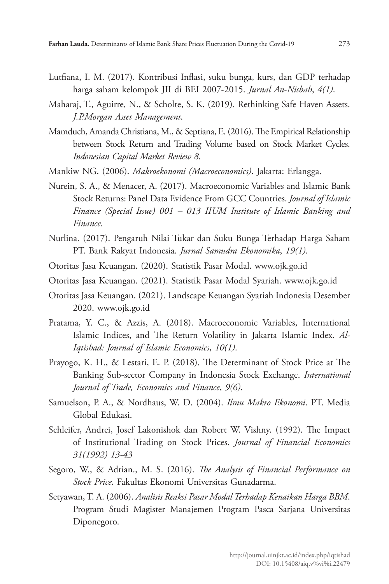- Lutfiana, I. M. (2017). Kontribusi Inflasi, suku bunga, kurs, dan GDP terhadap harga saham kelompok JII di BEI 2007-2015. *Jurnal An-Nisbah*, *4(1)*.
- Maharaj, T., Aguirre, N., & Scholte, S. K. (2019). Rethinking Safe Haven Assets. *J.P.Morgan Asset Management*.
- Mamduch, Amanda Christiana, M., & Septiana, E. (2016). The Empirical Relationship between Stock Return and Trading Volume based on Stock Market Cycles. *Indonesian Capital Market Review 8*.
- Mankiw NG. (2006). *Makroekonomi (Macroeconomics)*. Jakarta: Erlangga.
- Nurein, S. A., & Menacer, A. (2017). Macroeconomic Variables and Islamic Bank Stock Returns: Panel Data Evidence From GCC Countries. *Journal of Islamic Finance (Special Issue) 001 – 013 IIUM Institute of Islamic Banking and Finance*.
- Nurlina. (2017). Pengaruh Nilai Tukar dan Suku Bunga Terhadap Harga Saham PT. Bank Rakyat Indonesia. *Jurnal Samudra Ekonomika*, *19(1)*.
- Otoritas Jasa Keuangan. (2020). Statistik Pasar Modal. www.ojk.go.id
- Otoritas Jasa Keuangan. (2021). Statistik Pasar Modal Syariah. www.ojk.go.id
- Otoritas Jasa Keuangan. (2021). Landscape Keuangan Syariah Indonesia Desember 2020. www.ojk.go.id
- Pratama, Y. C., & Azzis, A. (2018). Macroeconomic Variables, International Islamic Indices, and The Return Volatility in Jakarta Islamic Index. *Al-Iqtishad: Journal of Islamic Economics*, *10(1)*.
- Prayogo, K. H., & Lestari, E. P. (2018). The Determinant of Stock Price at The Banking Sub-sector Company in Indonesia Stock Exchange. *International Journal of Trade, Economics and Finance*, *9(6)*.
- Samuelson, P. A., & Nordhaus, W. D. (2004). *Ilmu Makro Ekonomi*. PT. Media Global Edukasi.
- Schleifer, Andrei, Josef Lakonishok dan Robert W. Vishny. (1992). The Impact of Institutional Trading on Stock Prices. *Journal of Financial Economics 31(1992) 13-43*
- Segoro, W., & Adrian., M. S. (2016). *The Analysis of Financial Performance on Stock Price*. Fakultas Ekonomi Universitas Gunadarma.
- Setyawan, T. A. (2006). *Analisis Reaksi Pasar Modal Terhadap Kenaikan Harga BBM*. Program Studi Magister Manajemen Program Pasca Sarjana Universitas Diponegoro.